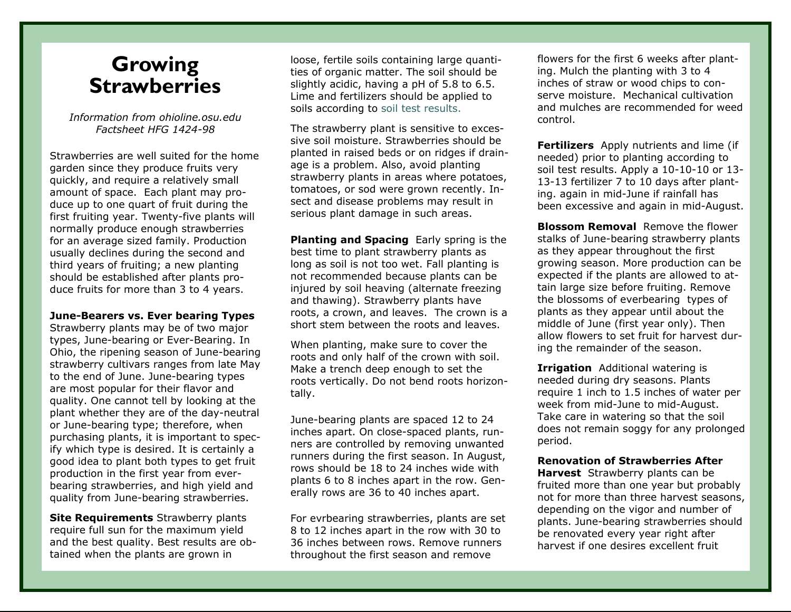## **Growing Strawberries**

*Information from ohioline.osu.edu Factsheet HFG 1424-98* 

Strawberries are well suited for the home garden since they produce fruits very quickly, and require a relatively small amount of space. Each plant may produce up to one quart of fruit during the first fruiting year. Twenty-five plants will normally produce enough strawberries for an average sized family. Production usually declines during the second and third years of fruiting; a new planting should be established after plants produce fruits for more than 3 to 4 years.

**June-Bearers vs. Ever bearing Types** 

Strawberry plants may be of two major types, June-bearing or Ever-Bearing. In Ohio, the ripening season of June-bearing strawberry cultivars ranges from late May to the end of June. June-bearing types are most popular for their flavor and quality. One cannot tell by looking at the plant whether they are of the day-neutral or June-bearing type; therefore, when purchasing plants, it is important to specify which type is desired. It is certainly a good idea to plant both types to get fruit production in the first year from everbearing strawberries, and high yield and quality from June-bearing strawberries.

**Site Requirements** Strawberry plants require full sun for the maximum yield and the best quality. Best results are obtained when the plants are grown in

loose, fertile soils containing large quantities of organic matter. The soil should be slightly acidic, having a pH of 5.8 to 6.5. Lime and fertilizers should be applied to soils according to soil test results.

The strawberry plant is sensitive to excessive soil moisture. Strawberries should be planted in raised beds or on ridges if drainage is a problem. Also, avoid planting strawberry plants in areas where potatoes, tomatoes, or sod were grown recently. Insect and disease problems may result in serious plant damage in such areas.

**Planting and Spacing** Early spring is the best time to plant strawberry plants as long as soil is not too wet. Fall planting is not recommended because plants can be injured by soil heaving (alternate freezing and thawing). Strawberry plants have roots, a crown, and leaves. The crown is a short stem between the roots and leaves.

When planting, make sure to cover the roots and only half of the crown with soil. Make a trench deep enough to set the roots vertically. Do not bend roots horizontally.

June-bearing plants are spaced 12 to 24 inches apart. On close-spaced plants, runners are controlled by removing unwanted runners during the first season. In August, rows should be 18 to 24 inches wide with plants 6 to 8 inches apart in the row. Generally rows are 36 to 40 inches apart.

For evrbearing strawberries, plants are set 8 to 12 inches apart in the row with 30 to 36 inches between rows. Remove runners throughout the first season and remove

flowers for the first 6 weeks after planting. Mulch the planting with 3 to 4 inches of straw or wood chips to conserve moisture. Mechanical cultivation and mulches are recommended for weed control.

**Fertilizers** Apply nutrients and lime (if needed) prior to planting according to soil test results. Apply a 10-10-10 or 13- 13-13 fertilizer 7 to 10 days after planting. again in mid-June if rainfall has been excessive and again in mid-August.

**Blossom Removal** Remove the flower stalks of June-bearing strawberry plants as they appear throughout the first growing season. More production can be expected if the plants are allowed to attain large size before fruiting. Remove the blossoms of everbearing types of plants as they appear until about the middle of June (first year only). Then allow flowers to set fruit for harvest during the remainder of the season.

**Irrigation** Additional watering is needed during dry seasons. Plants require 1 inch to 1.5 inches of water per week from mid-June to mid-August. Take care in watering so that the soil does not remain soggy for any prolonged period.

## **Renovation of Strawberries After**

**Harvest** Strawberry plants can be fruited more than one year but probably not for more than three harvest seasons, depending on the vigor and number of plants. June-bearing strawberries should be renovated every year right after harvest if one desires excellent fruit